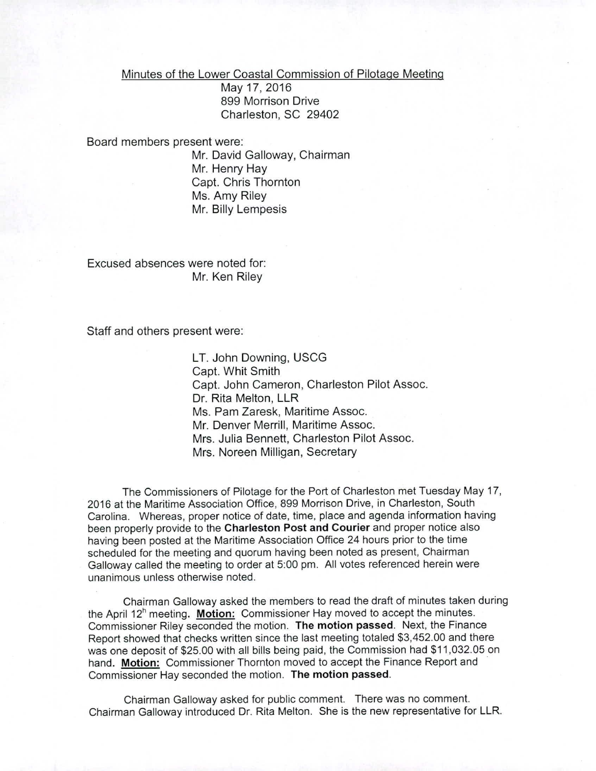Minutes of the Lower Coastal Commission of Pilotage Meeting

May17,2016 899 Morrison Drive Charleston, SC 29402

## Board members present were:

Mr. David Galloway, Chairman Mr. Henry Hay Capl. Chris Thornton Ms. Amy Riley Mr. Billy Lempesis

Excused absences were noted for: Mr. Ken Riley

Staff and others present were:

LT. John Downing, USCG Capt. Whit Smith Capt. John Cameron, Charleston Pilot Assoc. Dr. Rita Melton, LLR Ms. Pam Zaresk, Maritime Assoc. Mr. Denver Merrill, Maritime Assoc. Mrs. Julia Bennett, Charleston Pilot Assoc. Mrs. Noreen Milligan, Secretary

The Commissioners of Pilotage for the Port of Charleston met Tuesday May 17, 2016 at the Maritime Association Office, 899 Morrison Drive, in Charleston, South Carolina. Whereas, proper notice of date, time, place and agenda information having been properly provide to the Charleston Post and Courier and proper notice also having been posted at the Maritime Association Office 24 hours prior to the time scheduled for the meeting and quorum having been noted as present, Chairman Galloway called the meeting to order at 5:00 pm. All votes referenced herein were unanimous unless otherwise noted.

Chairman Galloway asked the members to read the draft of minutes taken during the April  $12<sup>h</sup>$  meeting. Motion: Commissioner Hay moved to accept the minutes. Commissioner Riley seconded the motion. The motion passed. Next, the Finance Report showed that checks written since the last meeting totaled \$3,452.00 and there was one deposit of \$25.00 with all bills being paid, the Commission had \$11,032.05 on hand. Motion: Commissioner Thornton moved to accept the Finance Report and Commissioner Hay seconded the motion. The motion passed.

Chairman Galloway asked for public comment. There was no comment. Chairman Galloway introduced Dr. Rita Melton. She is the new representative for LLR.